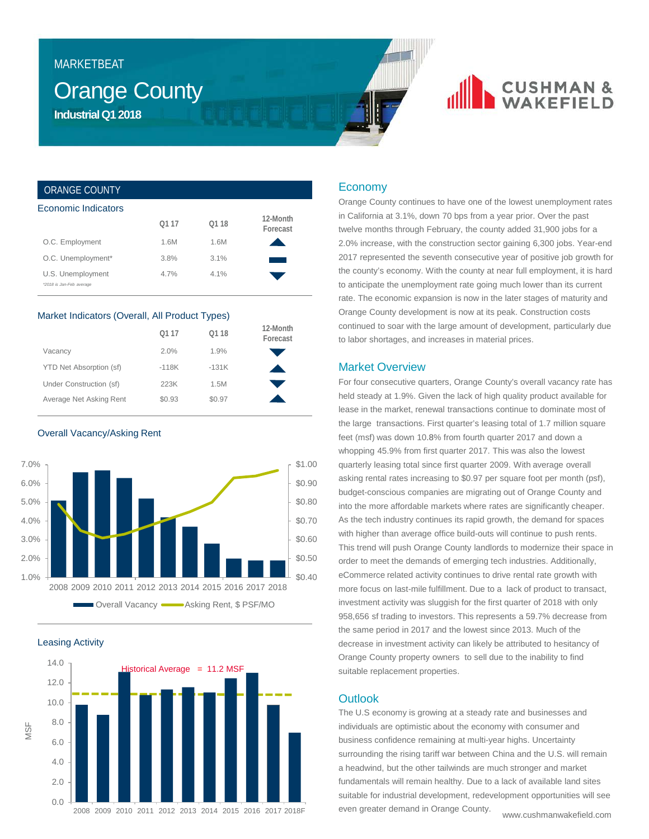#### MARKETBEAT

### Orange County **Industrial Q1 2018**

## **CUSHMAN &**<br>WAKEFIELD

#### ORANGE COUNTY

| Economic Indicators                           |      |         |                      |  |  |  |  |
|-----------------------------------------------|------|---------|----------------------|--|--|--|--|
|                                               | 0117 | 0118    | 12-Month<br>Forecast |  |  |  |  |
| O.C. Employment                               | 1.6M | 1.6M    |                      |  |  |  |  |
| O.C. Unemployment*                            | 3.8% | 3.1%    |                      |  |  |  |  |
| U.S. Unemployment<br>*2018 is Jan-Feb average | 4.7% | $4.1\%$ |                      |  |  |  |  |

#### Market Indicators (Overall, All Product Types)

|                         | 0117    | 01 18   | 12-Month<br>Forecast |
|-------------------------|---------|---------|----------------------|
| Vacancy                 | 2.0%    | 1.9%    |                      |
| YTD Net Absorption (sf) | $-118K$ | $-131K$ |                      |
| Under Construction (sf) | 223K    | 1.5M    |                      |
| Average Net Asking Rent | \$0.93  | \$0.97  |                      |
|                         |         |         |                      |

#### Overall Vacancy/Asking Rent







#### Economy

Orange County continues to have one of the lowest unemployment rates in California at 3.1%, down 70 bps from a year prior. Over the past twelve months through February, the county added 31,900 jobs for a 2.0% increase, with the construction sector gaining 6,300 jobs. Year-end 2017 represented the seventh consecutive year of positive job growth for the county's economy. With the county at near full employment, it is hard to anticipate the unemployment rate going much lower than its current rate. The economic expansion is now in the later stages of maturity and Orange County development is now at its peak. Construction costs continued to soar with the large amount of development, particularly due to labor shortages, and increases in material prices.

#### Market Overview

For four consecutive quarters, Orange County's overall vacancy rate has held steady at 1.9%. Given the lack of high quality product available for lease in the market, renewal transactions continue to dominate most of the large transactions. First quarter's leasing total of 1.7 million square feet (msf) was down 10.8% from fourth quarter 2017 and down a whopping 45.9% from first quarter 2017. This was also the lowest quarterly leasing total since first quarter 2009. With average overall asking rental rates increasing to \$0.97 per square foot per month (psf), budget-conscious companies are migrating out of Orange County and into the more affordable markets where rates are significantly cheaper. As the tech industry continues its rapid growth, the demand for spaces with higher than average office build-outs will continue to push rents. This trend will push Orange County landlords to modernize their space in order to meet the demands of emerging tech industries. Additionally, eCommerce related activity continues to drive rental rate growth with more focus on last-mile fulfillment. Due to a lack of product to transact, investment activity was sluggish for the first quarter of 2018 with only 958,656 sf trading to investors. This represents a 59.7% decrease from the same period in 2017 and the lowest since 2013. Much of the decrease in investment activity can likely be attributed to hesitancy of Orange County property owners to sell due to the inability to find suitable replacement properties.

#### **Outlook**

www.cushmanwakefield.com The U.S economy is growing at a steady rate and businesses and individuals are optimistic about the economy with consumer and business confidence remaining at multi-year highs. Uncertainty surrounding the rising tariff war between China and the U.S. will remain a headwind, but the other tailwinds are much stronger and market fundamentals will remain healthy. Due to a lack of available land sites suitable for industrial development, redevelopment opportunities will see even greater demand in Orange County.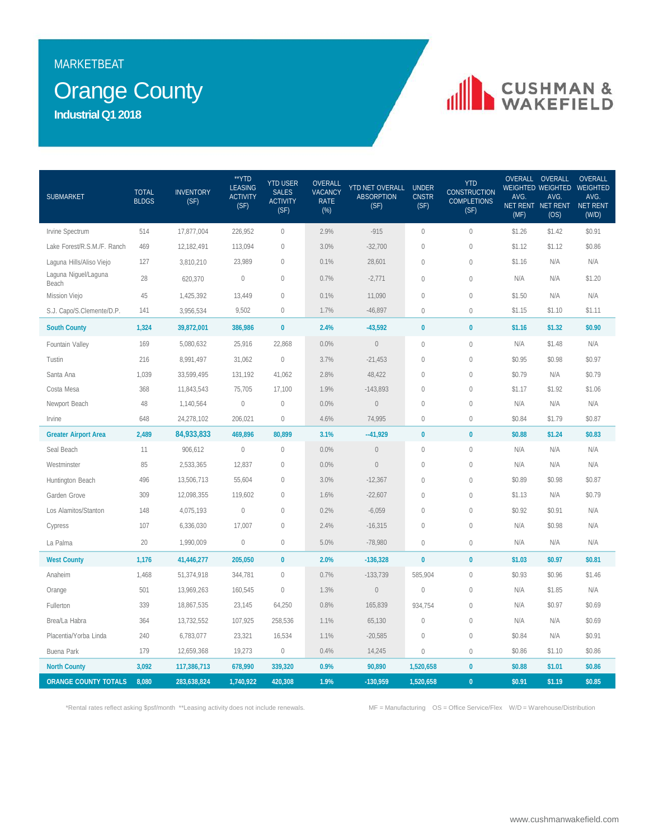#### MARKETBEAT

### Orange County

**Industrial Q1 2018**

# CUSHMAN &

| <b>SUBMARKET</b>              | <b>TOTAL</b><br><b>BLDGS</b> | <b>INVENTORY</b><br>(SF) | **YTD<br><b>LEASING</b><br><b>ACTIVITY</b><br>(SF) | <b>YTD USER</b><br><b>SALES</b><br><b>ACTIVITY</b><br>(SF) | OVERALL<br>VACANCY<br><b>RATE</b><br>$(\%)$ | YTD NET OVERALL<br><b>ABSORPTION</b><br>(SF) | <b>UNDER</b><br><b>CNSTR</b><br>(SF) | <b>YTD</b><br><b>CONSTRUCTION</b><br><b>COMPLETIONS</b><br>(SF) | AVG.<br>(MF) | OVERALL OVERALL<br>WEIGHTED WEIGHTED WEIGHTED<br>AVG.<br>NET RENT NET RENT NET RENT<br>(OS) | OVERALL<br>AVG.<br>(W/D) |
|-------------------------------|------------------------------|--------------------------|----------------------------------------------------|------------------------------------------------------------|---------------------------------------------|----------------------------------------------|--------------------------------------|-----------------------------------------------------------------|--------------|---------------------------------------------------------------------------------------------|--------------------------|
| Irvine Spectrum               | 514                          | 17,877,004               | 226,952                                            | $\overline{0}$                                             | 2.9%                                        | $-915$                                       | $\mathbf{0}$                         | $\mathbf{0}$                                                    | \$1.26       | \$1.42                                                                                      | \$0.91                   |
| Lake Forest/R.S.M./F. Ranch   | 469                          | 12,182,491               | 113,094                                            | $\mathbf{0}$                                               | 3.0%                                        | $-32,700$                                    | $\mathbf 0$                          | $\mathbf 0$                                                     | \$1.12       | \$1.12                                                                                      | \$0.86                   |
| Laguna Hills/Aliso Viejo      | 127                          | 3,810,210                | 23,989                                             | $\mathbf 0$                                                | 0.1%                                        | 28,601                                       | $\mathbb O$                          | $\mathbb O$                                                     | \$1.16       | N/A                                                                                         | N/A                      |
| Laguna Niguel/Laguna<br>Beach | 28                           | 620,370                  | $\mathbf 0$                                        | $\mathbf{0}$                                               | 0.7%                                        | $-2,771$                                     | $\mathbf 0$                          | $\mathbf 0$                                                     | N/A          | N/A                                                                                         | \$1.20                   |
| Mission Viejo                 | 45                           | 1,425,392                | 13,449                                             | $\mathbf{0}$                                               | 0.1%                                        | 11,090                                       | $\mathbb O$                          | $\mathbf{0}$                                                    | \$1.50       | N/A                                                                                         | N/A                      |
| S.J. Capo/S.Clemente/D.P.     | 141                          | 3,956,534                | 9,502                                              | $\mathbf{0}$                                               | 1.7%                                        | $-46,897$                                    | $\mathbf 0$                          | $\mathbf{0}$                                                    | \$1.15       | \$1.10                                                                                      | \$1.11                   |
| <b>South County</b>           | 1,324                        | 39,872,001               | 386,986                                            | $\bf{0}$                                                   | 2.4%                                        | $-43,592$                                    | $\pmb{0}$                            | $\bf{0}$                                                        | \$1.16       | \$1.32                                                                                      | \$0.90                   |
| Fountain Valley               | 169                          | 5,080,632                | 25,916                                             | 22,868                                                     | 0.0%                                        | $\mathbb O$                                  | $\mathbf{0}$                         | $\mathbf{0}$                                                    | N/A          | \$1.48                                                                                      | N/A                      |
| Tustin                        | 216                          | 8,991,497                | 31,062                                             | $\overline{0}$                                             | 3.7%                                        | $-21,453$                                    | $\mathbf{0}$                         | $\mathbf{0}$                                                    | \$0.95       | \$0.98                                                                                      | \$0.97                   |
| Santa Ana                     | 1,039                        | 33,599,495               | 131,192                                            | 41,062                                                     | 2.8%                                        | 48,422                                       | $\mathbf 0$                          | $\mathbf 0$                                                     | \$0.79       | N/A                                                                                         | \$0.79                   |
| Costa Mesa                    | 368                          | 11,843,543               | 75,705                                             | 17,100                                                     | 1.9%                                        | $-143,893$                                   | $\mathbf 0$                          | $\mathbb O$                                                     | \$1.17       | \$1.92                                                                                      | \$1.06                   |
| Newport Beach                 | 48                           | 1,140,564                | $\mathbf{0}$                                       | $\mathbf 0$                                                | 0.0%                                        | $\mathbf 0$                                  | $\mathbf 0$                          | $\mathbf{0}$                                                    | N/A          | N/A                                                                                         | N/A                      |
| Irvine                        | 648                          | 24,278,102               | 206,021                                            | $\mathbf 0$                                                | 4.6%                                        | 74,995                                       | $\mathbf 0$                          | $\mathbf{0}$                                                    | \$0.84       | \$1.79                                                                                      | \$0.87                   |
| <b>Greater Airport Area</b>   | 2,489                        | 84,933,833               | 469,896                                            | 80,899                                                     | 3.1%                                        | $-41,929$                                    | $\bf{0}$                             | $\pmb{0}$                                                       | \$0.88       | \$1.24                                                                                      | \$0.83                   |
| Seal Beach                    | 11                           | 906,612                  | $\mathbf 0$                                        | $\mathbf{0}$                                               | 0.0%                                        | $\overline{0}$                               | $\mathbb O$                          | $\mathbf{0}$                                                    | N/A          | N/A                                                                                         | N/A                      |
| Westminster                   | 85                           | 2,533,365                | 12,837                                             | $\mathbf 0$                                                | 0.0%                                        | $\mathbb O$                                  | $\mathbf 0$                          | $\mathbf{0}$                                                    | N/A          | N/A                                                                                         | N/A                      |
| Huntington Beach              | 496                          | 13,506,713               | 55,604                                             | $\mathbf 0$                                                | 3.0%                                        | $-12,367$                                    | $\mathbf 0$                          | $\mathbb O$                                                     | \$0.89       | \$0.98                                                                                      | \$0.87                   |
| Garden Grove                  | 309                          | 12,098,355               | 119,602                                            | $\mathbf{0}$                                               | 1.6%                                        | $-22,607$                                    | $\mathbf 0$                          | $\mathbb O$                                                     | \$1.13       | N/A                                                                                         | \$0.79                   |
| Los Alamitos/Stanton          | 148                          | 4,075,193                | $\mathbf{0}$                                       | $\mathbf{0}$                                               | 0.2%                                        | $-6,059$                                     | $\mathbf 0$                          | $\mathbf{0}$                                                    | \$0.92       | \$0.91                                                                                      | N/A                      |
| Cypress                       | 107                          | 6,336,030                | 17,007                                             | $\mathbf{0}$                                               | 2.4%                                        | $-16,315$                                    | $\mathbf{0}$                         | $\mathbf{0}$                                                    | N/A          | \$0.98                                                                                      | N/A                      |
| La Palma                      | 20                           | 1,990,009                | $\mathbf 0$                                        | $\mathbf{0}$                                               | 5.0%                                        | $-78,980$                                    | $\mathbf{0}$                         | $\mathbb O$                                                     | N/A          | N/A                                                                                         | N/A                      |
| <b>West County</b>            | 1,176                        | 41,446,277               | 205,050                                            | $\bf{0}$                                                   | 2.0%                                        | $-136,328$                                   | $\bf{0}$                             | $\pmb{0}$                                                       | \$1.03       | \$0.97                                                                                      | \$0.81                   |
| Anaheim                       | 1,468                        | 51,374,918               | 344,781                                            | $\mathbb O$                                                | 0.7%                                        | $-133,739$                                   | 585,904                              | $\overline{0}$                                                  | \$0.93       | \$0.96                                                                                      | \$1.46                   |
| Orange                        | 501                          | 13,969,263               | 160,545                                            | $\overline{0}$                                             | 1.3%                                        | $\,0\,$                                      | $\mathbf 0$                          | $\mathbf{0}$                                                    | N/A          | \$1.85                                                                                      | N/A                      |
| Fullerton                     | 339                          | 18,867,535               | 23,145                                             | 64,250                                                     | 0.8%                                        | 165,839                                      | 934,754                              | $\mathbf{0}$                                                    | N/A          | \$0.97                                                                                      | \$0.69                   |
| Brea/La Habra                 | 364                          | 13,732,552               | 107,925                                            | 258,536                                                    | 1.1%                                        | 65,130                                       | $\mathbf 0$                          | $\mathbf{0}$                                                    | N/A          | N/A                                                                                         | \$0.69                   |
| Placentia/Yorba Linda         | 240                          | 6,783,077                | 23,321                                             | 16,534                                                     | 1.1%                                        | $-20,585$                                    | $\mathbf{0}$                         | $\mathbf{0}$                                                    | \$0.84       | N/A                                                                                         | \$0.91                   |
| Buena Park                    | 179                          | 12,659,368               | 19,273                                             | $\mathbf 0$                                                | 0.4%                                        | 14,245                                       | $\mathbf 0$                          | $\overline{0}$                                                  | \$0.86       | \$1.10                                                                                      | \$0.86                   |
| <b>North County</b>           | 3,092                        | 117,386,713              | 678,990                                            | 339,320                                                    | 0.9%                                        | 90,890                                       | 1,520,658                            | $\mathbf{0}$                                                    | \$0.88       | \$1.01                                                                                      | \$0.86                   |
| <b>ORANGE COUNTY TOTALS</b>   | 8,080                        | 283,638,824              | 1,740,922                                          | 420,308                                                    | 1.9%                                        | $-130,959$                                   | 1,520,658                            | $\mathbf{0}$                                                    | \$0.91       | \$1.19                                                                                      | \$0.85                   |

\*Rental rates reflect asking \$psf/month \*\*Leasing activity does not include renewals. MF = Manufacturing OS = Office Service/Flex W/D = Warehouse/Distribution